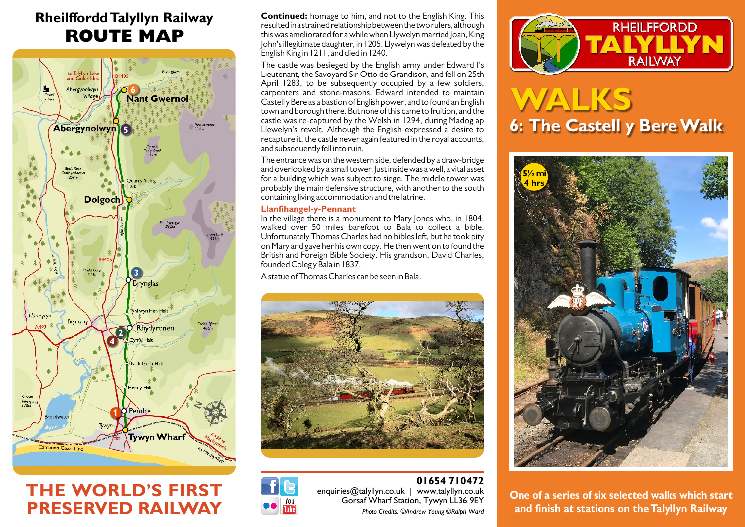## **Rheilffordd Talyllyn Railway ROUTE MAP**



# **THE WORLD'S FIRST PRESERVED RAILWAY**

**Continued:** homage to him, and not to the English King. This resulted in a strained relationship between the two rulers, although this was ameliorated for a while when Llywelyn married Joan, King John's illegitimate daughter, in 1205. Llywelyn was defeated by the English King in 1211, and died in 1240.

The castle was besieged by the English army under Edward I's Lieutenant, the Savoyard Sir Otto de Grandison, and fell on 25th April 1283, to be subsequently occupied by a few soldiers, carpenters and stone-masons. Edward intended to maintain Castell y Bere as a bastion of English power, and to found an English town and borough there. But none of this came to fruition, and the castle was re-captured by the Welsh in 1294, during Madog ap Llewelyn's revolt. Although the English expressed a desire to recapture it, the castle never again featured in the royal accounts, and subsequently fell into ruin.

The entrance was on the western side, defended by a draw-bridge and overlooked by a small tower. Just inside was a well, a vital asset for a building which was subject to siege. The middle tower was probably the main defensive structure, with another to the south containing living accommodation and the latrine.

## **Llanfihangel-y-Pennant**

In the village there is a monument to Mary Jones who, in 1804, walked over 50 miles barefoot to Bala to collect a bible. Unfortunately Thomas Charles had no bibles left, but he took pity on Mary and gave her his own copy. He then went on to found the British and Foreign Bible Society. His grandson, David Charles, founded Coleg y Bala in 1837.

A statue of Thomas Charles can be seen in Bala.



## **01654 710472** enquiries@talyllyn.co.uk | www.talyllyn.co.uk Gorsaf Wharf Station, Tywyn LL36 9EY *Photo Credits: ©Andrew Young ©Ralph Ward*



# **WALKS 6: The Castell y Bere Walk**



**One of a series of six selected walks which start and finish at stations on the Talyllyn Railway**